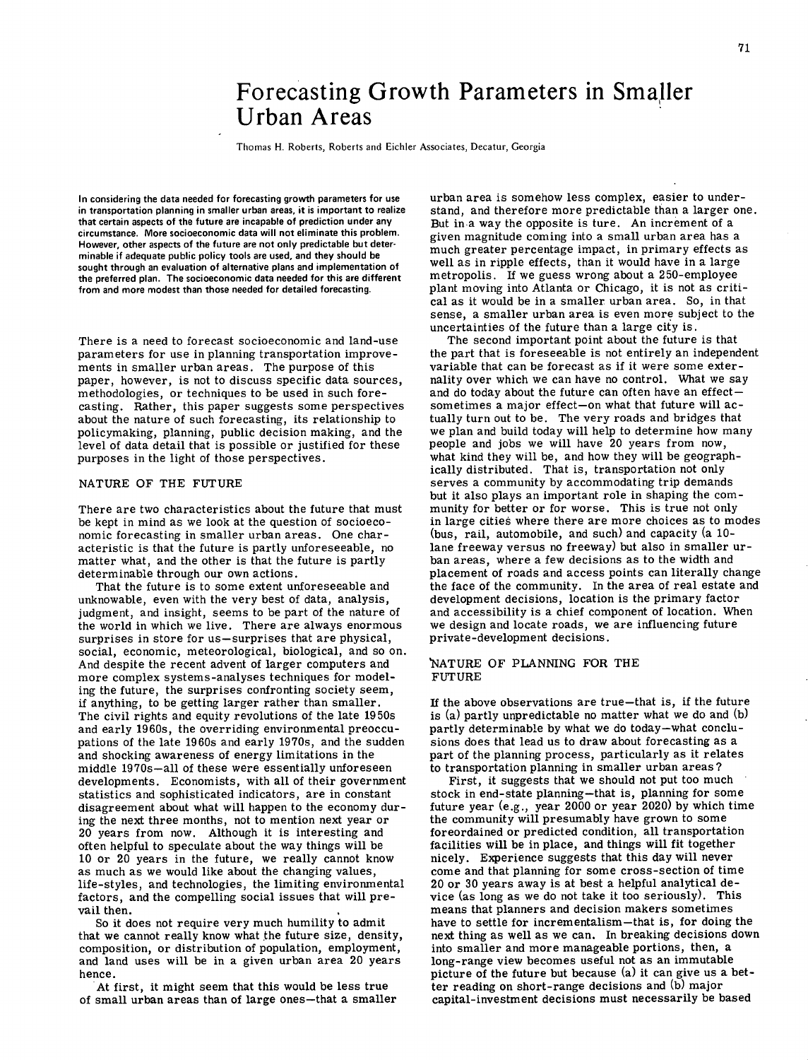## Forecasting Growth Parameters in Smaller Urban Areas

Thomas H. Roberts, Roberts and Eichler Associates, Decatur, Georgia

In considering the data needed for forecasting growth parameters for use in transportation planning in smaller urban areas, it is important to realize that certain aspects of the future are incapable of prediction under any circumstance. More socioeconomic data will not eliminate this problem. However, other aspects of the future are not only predictable but determinable if adequate public policy tools are used, and they should be sought through an evaluation of alternative plans and implementation of the preferred plan. The socioeconomic data needed for this are different from and more modest than those needed for detailed forecasting.

There is a need to forecast socioeconomic and land-use parameters for use in planning transportation improvements in smaller urban areas. The purpose of this paper, however, is not to discuss specific data sources, methodologies, or techniques to be used in such forecasting. Rather, this paper suggests some perspectives about the nature of such forecasting, its relationship to policymaking, planning, public decision making, and the level of data detail that is possible or justified for these purposes in the light of those perspectives.

## NATURE OF THE FUTURE

There are two characteristics about the future that must be kept in mind as we look at the question of socioeconomic forecasting in smaller urban areas. One characteristic is that the future is partly unforeseeable, no matter what, and the other is that the future is partly determinable through our own actions.

That the future is to some extent unforeseeable and unknowable, even with the very best of data, analysis, judgment, and insight, seems to be part of the nature of the world in which we live. There are always enormous surprises in store for us—surprises that are physical, social, economic, meteorological, biological, and so on. And despite the recent advent of larger computers and more complex systems-analyses techniques for modeling the future, the surprises confronting society seem, if anything, to be getting larger rather than smaller. The civil rights and equity revolutions of the late 1950s and early 1960s, the overriding environmental preoccupations of the late 1960s and early 1970s, and the sudden and shocking awareness of energy limitations in the middle 1970s—all of these were essentially unforeseen developments. Economists, with all of their government statistics and sophisticated indicators, are in constant disagreement about what will happen to the economy during the next three months, not to mention next year or 20 years from now. Although it is interesting and often helpful to speculate about the way things will be 10 or 20 years in the future, we really cannot know as much as we would like about the changing values, life-styles, and technologies, the limiting environmental factors, and the compelling social issues that will prevail then.

So it does not require very much humility to admit that we cannot really know what the future size, density, composition, or distribution of population, employment, and land uses will be in a given urban area 20 years hence.

At first, it might seem that this would be less true of small urban areas than of large ones—that a smaller

urban area is somehow less complex, easier to understand, and therefore more predictable than a larger one. But in a way the opposite is ture. An increment of a given magnitude coming into a small urban area has a much greater percentage impact, in primary effects as well as in ripple effects, than it would have in a large metropolis. If we guess wrong about a 250-employee plant moving into Atlanta or Chicago, it is not as critical as it would be in a smaller urban area. So, in that sense, a smaller urban area is even more subject to the uncertainties of the future than a large city is.

The second important point about the future is that the part that is foreseeable is not entirely an independent variable that can be forecast as if it were some externality over which we can have no control. What we say and do today about the future can often have an effect sometimes a major effect—on what that future will actually turn out to be. The very roads and bridges that we plan and build today will help to determine how many people and jobs we will have 20 years from now, what kind they will be, and how they will be geographically distributed. That is, transportation not only serves a community by accommodating trip demands but it also plays an important role in shaping the community for better or for worse. This is true not only in large citieâ where there are more choices as to modes (bus, rail, automobile, and such) and capacity (a 10 lane freeway versus no freeway) but also in smaller urban areas, where a few decisions as to the width and placement of roads and access points can literally change the face of the community. In the area of real estate and development decisions, location is the primary factor and accessibility is a chief component of location. When we design and locate roads, we are influencing future private -development decisions.

## 'NATURE OF PLANNING FOR THE FUTURE

If the above observations are true—that is, if the future is (a) partly unpredictable no matter what we do and (b) partly determinable by what we do today—what conclusions does that lead us to draw about forecasting as a part of the planning process, particularly as it relates to transportation planning in smaller urban areas?

First, it suggests that we should not put too much stock in end-state planning—that is, planning for some future year (e.g., year 2000 or year 2020) by which time the community will presumably have grown to some foreordained or predicted condition, all transportation facilities will be in place, and things will fit together nicely. Experience suggests that this day will never come and that planning for some cross-section of time 20 or 30 years away is at best a helpful analytical device (as long as we do not take it too seriously). This means that planners and decision makers sometimes have to settle for incrementalism —that is, for doing the next thing as well as we can. In breaking decisions down into smaller and more manageable portions, then, a long-range view becomes useful not as an immutable picture of the future but because (a) it can give us a better reading on short-range decisions and (b) major capital-investment decisions must necessarily be based